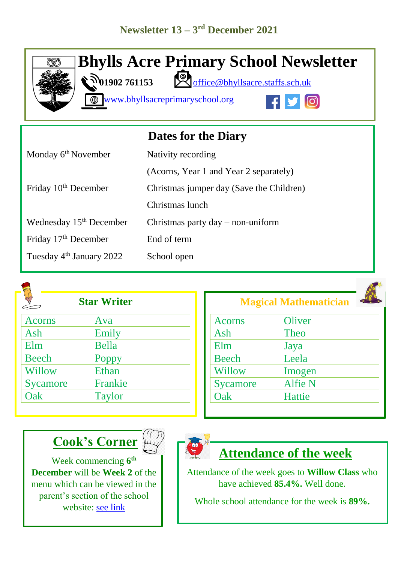

**Bhylls Acre Primary School Newsletter 01902 761153** <br> **101902 761153** 

[www.bhyllsacreprimaryschool.org](http://www.bhyllsacreprimaryschool.org/) 



|                                      | <b>Dates for the Diary</b>               |
|--------------------------------------|------------------------------------------|
| Monday 6 <sup>th</sup> November      | Nativity recording                       |
|                                      | (Acorns, Year 1 and Year 2 separately)   |
| Friday 10 <sup>th</sup> December     | Christmas jumper day (Save the Children) |
|                                      | Christmas lunch                          |
| Wednesday 15 <sup>th</sup> December  | Christmas party $day - non-uniform$      |
| Friday 17 <sup>th</sup> December     | End of term                              |
| Tuesday 4 <sup>th</sup> January 2022 | School open                              |



| <b>Star Writer</b> |  |  |
|--------------------|--|--|
| Ava                |  |  |
| Emily              |  |  |
| <b>Bella</b>       |  |  |
| Poppy              |  |  |
| Ethan              |  |  |
| Frankie            |  |  |
| <b>Taylor</b>      |  |  |
|                    |  |  |

| <b>Acorns</b> | Oliver         |
|---------------|----------------|
| Ash           | Theo           |
| Elm           | Jaya           |
| <b>Beech</b>  | Leela          |
| Willow        | Imogen         |
| Sycamore      | <b>Alfie N</b> |
| Oak           | Hattie         |

**Magical Mathematician**

# **Cook's Corner**

Week commencing **6 th December** will be **Week 2** of the menu which can be viewed in the parent's section of the school website: [see link](https://www.bhyllsacreprimaryschool.org/parents/school-meals)



### **Attendance of the week**

Attendance of the week goes to **Willow Class** who have achieved **85.4%.** Well done.

Whole school attendance for the week is **89%.**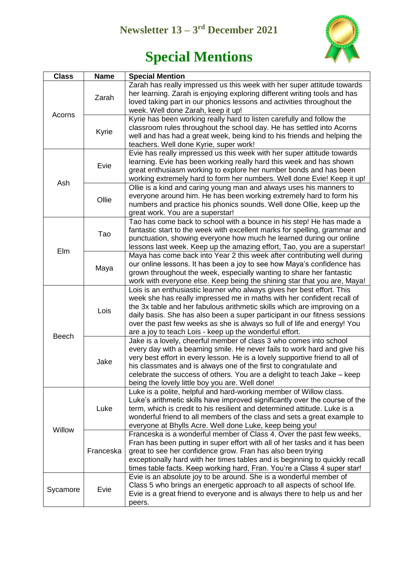#### **Newsletter 13 – 3 rd December 2021**



## **Special Mentions**

| <b>Class</b> | <b>Name</b> | <b>Special Mention</b>                                                                                                                                                                                                                                                                                                                                                                                                                            |
|--------------|-------------|---------------------------------------------------------------------------------------------------------------------------------------------------------------------------------------------------------------------------------------------------------------------------------------------------------------------------------------------------------------------------------------------------------------------------------------------------|
| Acorns       | Zarah       | Zarah has really impressed us this week with her super attitude towards<br>her learning. Zarah is enjoying exploring different writing tools and has<br>loved taking part in our phonics lessons and activities throughout the<br>week. Well done Zarah, keep it up!                                                                                                                                                                              |
|              | Kyrie       | Kyrie has been working really hard to listen carefully and follow the<br>classroom rules throughout the school day. He has settled into Acorns<br>well and has had a great week, being kind to his friends and helping the<br>teachers. Well done Kyrie, super work!                                                                                                                                                                              |
| Ash          | Evie        | Evie has really impressed us this week with her super attitude towards<br>learning. Evie has been working really hard this week and has shown<br>great enthusiasm working to explore her number bonds and has been<br>working extremely hard to form her numbers. Well done Evie! Keep it up!                                                                                                                                                     |
|              | Ollie       | Ollie is a kind and caring young man and always uses his manners to<br>everyone around him. He has been working extremely hard to form his<br>numbers and practice his phonics sounds. Well done Ollie, keep up the<br>great work. You are a superstar!                                                                                                                                                                                           |
| Elm          | Tao         | Tao has come back to school with a bounce in his step! He has made a<br>fantastic start to the week with excellent marks for spelling, grammar and<br>punctuation, showing everyone how much he learned during our online<br>lessons last week. Keep up the amazing effort, Tao, you are a superstar!                                                                                                                                             |
|              | Maya        | Maya has come back into Year 2 this week after contributing well during<br>our online lessons. It has been a joy to see how Maya's confidence has<br>grown throughout the week, especially wanting to share her fantastic<br>work with everyone else. Keep being the shining star that you are, Maya!                                                                                                                                             |
| <b>Beech</b> | Lois        | Lois is an enthusiastic learner who always gives her best effort. This<br>week she has really impressed me in maths with her confident recall of<br>the 3x table and her fabulous arithmetic skills which are improving on a<br>daily basis. She has also been a super participant in our fitness sessions<br>over the past few weeks as she is always so full of life and energy! You<br>are a joy to teach Lois - keep up the wonderful effort. |
|              | Jake        | Jake is a lovely, cheerful member of class 3 who comes into school<br>every day with a beaming smile. He never fails to work hard and give his<br>very best effort in every lesson. He is a lovely supportive friend to all of<br>his classmates and is always one of the first to congratulate and<br>celebrate the success of others. You are a delight to teach Jake - keep<br>being the lovely little boy you are. Well done!                 |
| Willow       | Luke        | Luke is a polite, helpful and hard-working member of Willow class.<br>Luke's arithmetic skills have improved significantly over the course of the<br>term, which is credit to his resilient and determined attitude. Luke is a<br>wonderful friend to all members of the class and sets a great example to<br>everyone at Bhylls Acre. Well done Luke, keep being you!                                                                            |
|              | Franceska   | Franceska is a wonderful member of Class 4. Over the past few weeks,<br>Fran has been putting in super effort with all of her tasks and it has been<br>great to see her confidence grow. Fran has also been trying<br>exceptionally hard with her times tables and is beginning to quickly recall<br>times table facts. Keep working hard, Fran. You're a Class 4 super star!                                                                     |
| Sycamore     | Evie        | Evie is an absolute joy to be around. She is a wonderful member of<br>Class 5 who brings an energetic approach to all aspects of school life.<br>Evie is a great friend to everyone and is always there to help us and her<br>peers.                                                                                                                                                                                                              |